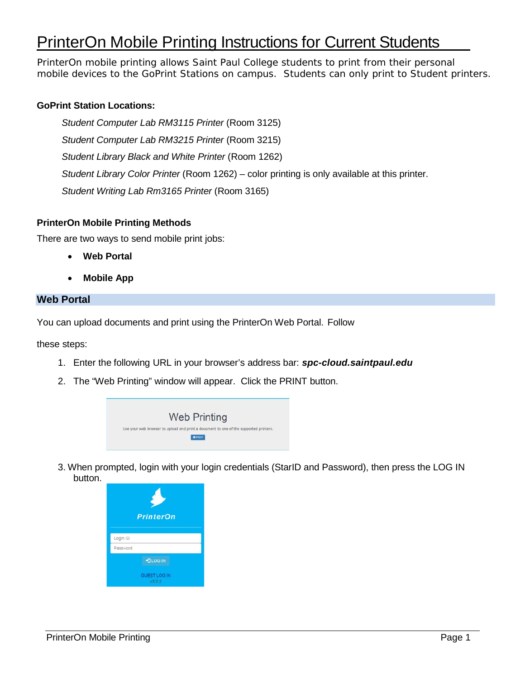# PrinterOn Mobile Printing Instructions for Current Students

PrinterOn mobile printing allows Saint Paul College students to print from their personal mobile devices to the GoPrint Stations on campus. Students can only print to Student printers.

## **GoPrint Station Locations:**

*Student Computer Lab RM3115 Printer* (Room 3125) *Student Computer Lab RM3215 Printer* (Room 3215) *Student Library Black and White Printer* (Room 1262) *Student Library Color Printer* (Room 1262) – color printing is only available at this printer. *Student Writing Lab Rm3165 Printer* (Room 3165)

#### **PrinterOn Mobile Printing Methods**

There are two ways to send mobile print jobs:

- **Web Portal**
- **Mobile App**

#### **Web Portal**

You can upload documents and print using the PrinterOn Web Portal. Follow

these steps:

- 1. Enter the following URL in your browser's address bar: *spc-cloud.saintpaul.edu*
- 2. The "Web Printing" window will appear. Click the PRINT button.



3. When prompted, login with your login credentials (StarID and Password), then press the LOG IN button.

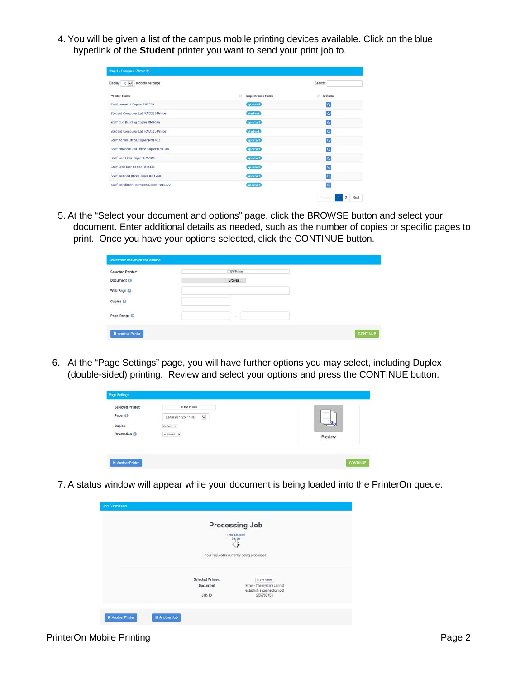4. You will be given a list of the campus mobile printing devices available. Click on the blue hyperlink of the **Student** printer you want to send your print job to.

| Display 10 v records per page            |                             | Search:                                     |
|------------------------------------------|-----------------------------|---------------------------------------------|
| <b>Printer Name</b>                      | <b>Department Name</b><br>n | Ħ<br><b>Details</b>                         |
| Staff LowerLvl Copier RML230             | spestaff                    | $\mathbf{Q}$                                |
| Student Computer Lab RM3215 Printer      | atudent                     | $\overline{a}$                              |
| Staff CLC Building Copier RM900a         | spestaff                    | $\overline{a}$                              |
| Student Computer Lab RM3115 Printer      | student                     | $\overline{a}$                              |
| Staff Admin Office Cooler RM1413         | spestaff                    | $\alpha$                                    |
| Staff Financial Aid Office Copier RM1340 | spestaff                    | a                                           |
| Staff 2nd Floor Copier RM2415            | spestaff                    | $\alpha$                                    |
| Staff 3rd Floor Copier RM3435            | spestaff                    | $\overline{a}$                              |
| Staff Tuition Office Copier RM1240       | spestaff                    | $\alpha$                                    |
| Staff Enrollment Services Copier RM1300  | spestaff                    | a                                           |
|                                          |                             | Pikking,<br>$\overline{\mathbf{z}}$<br>Next |

5. At the "Select your document and options" page, click the BROWSE button and select your document. Enter additional details as needed, such as the number of copies or specific pages to print. Once you have your options selected, click the CONTINUE button.

| Select your document and options |               |                 |
|----------------------------------|---------------|-----------------|
| <b>Selected Printer:</b>         | IT BW Printer |                 |
| Document @                       | Browse        |                 |
| Web Page @<br>no                 |               |                 |
| Copies @                         |               |                 |
| Page Range                       | ٠             |                 |
| <b>K</b> Another Printer         |               | <b>CONTINUE</b> |

6. At the "Page Settings" page, you will have further options you may select, including Duplex (double-sided) printing. Review and select your options and press the CONTINUE button.

| Selected Printer:        | IT BW Primer             | ⊨               |
|--------------------------|--------------------------|-----------------|
| 1263 I                   | $\overline{\phantom{a}}$ | =               |
| Paper <sup>2</sup>       | Letter (8 1/2 x 11 in)   | د 2 ت           |
| <b>Duplex</b>            | Default V                | Preview         |
| Orientation @            | As Saved V               | 1985-1982       |
| <b>K</b> Another Printer |                          | <b>CONTINUE</b> |

7. A status window will appear while your document is being loaded into the PrinterOn queue.

|                   | Processing Job                                                                   |  |
|-------------------|----------------------------------------------------------------------------------|--|
|                   | <b>Time Elapsed</b><br>00:00                                                     |  |
|                   | $\frac{\omega_{\rm{p}}}{\omega_{\rm{p}}}\frac{\omega_{\rm{p}}}{\omega_{\rm{p}}}$ |  |
|                   |                                                                                  |  |
|                   | Your request is currently being processed.                                       |  |
|                   |                                                                                  |  |
| Selected Printer: | IT EW Printer                                                                    |  |
| Document          | Error - The system cannot<br>establish a connection.pdf                          |  |
| Job ID            | 255700151                                                                        |  |
|                   |                                                                                  |  |
|                   |                                                                                  |  |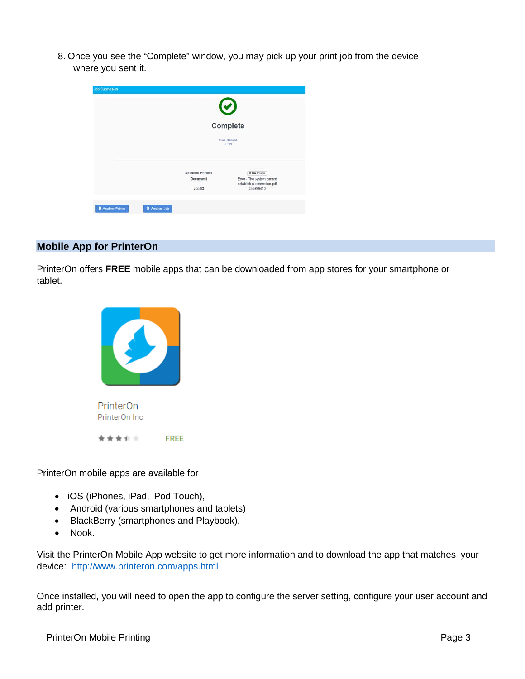8. Once you see the "Complete" window, you may pick up your print job from the device where you sent it.

| Job Submission           |                      |                    |                                                                      |
|--------------------------|----------------------|--------------------|----------------------------------------------------------------------|
|                          |                      |                    | $\odot$                                                              |
|                          |                      |                    | Complete                                                             |
|                          |                      |                    | <b>Time Elapsed</b><br>00:09                                         |
|                          |                      | Selected Printer:  | IT BW Printer                                                        |
|                          |                      | Document<br>Job ID | Error - The system cannot<br>establish a connection.pdf<br>255699410 |
| <b>K</b> Another Printer | <b>K</b> Another Job |                    |                                                                      |

#### **Mobile App for PrinterOn**

PrinterOn offers **FREE** mobile apps that can be downloaded from app stores for your smartphone or tablet.



PrinterOn mobile apps are available for

- iOS (iPhones, iPad, iPod Touch),
- Android (various smartphones and tablets)
- BlackBerry (smartphones and Playbook),
- Nook.

Visit the PrinterOn Mobile App website to get more information and to download the app that matches your device: <http://www.printeron.com/apps.html>

Once installed, you will need to open the app to configure the server setting, configure your user account and add printer.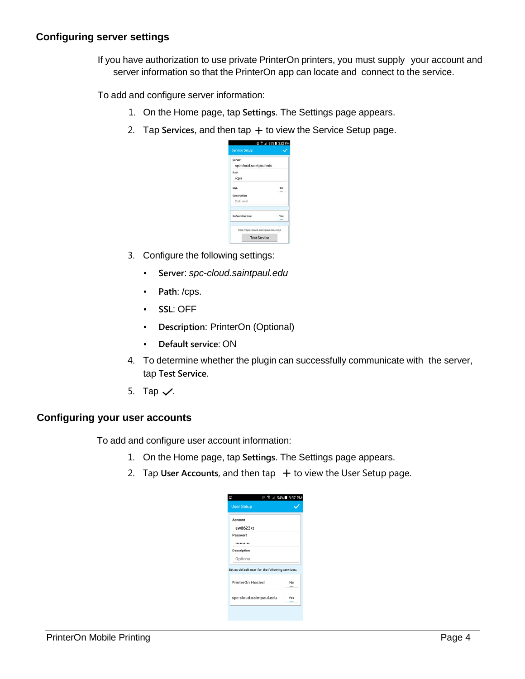If you have authorization to use private PrinterOn printers, you must supply your account and server information so that the PrinterOn app can locate and connect to the service.

To add and configure server information:

- 1. On the Home page, tap **Settings**. The Settings page appears.
- 2. Tap Services, and then tap  $+$  to view the Service Setup page.

| Server                  |    |
|-------------------------|----|
| spc-cloud.saintpaul.edu |    |
| Path                    |    |
| /cps                    |    |
| SSL                     | No |
| Description             |    |
| Optional                |    |
| <b>Default Service</b>  |    |

- 3. Configure the following settings:
	- **Server**: *spc-cloud.saintpaul.edu*
	- **Path**: /cps.
	- **SSL**: OFF
	- **Description**: PrinterOn (Optional)
	- **Default service**: ON
- 4. To determine whether the plugin can successfully communicate with the server, tap **Test Service**.
- 5. Tap  $\checkmark$ .

# **Configuring your user accounts**

To add and configure user account information:

- 1. On the Home page, tap **Settings**. The Settings page appears.
- 2. Tap User Accounts, and then tap  $+$  to view the User Setup page.

|                                                 |  | 23 字⊿ 94% ■ 3:37 PM |
|-------------------------------------------------|--|---------------------|
| <b>User Setup</b>                               |  |                     |
| Account                                         |  |                     |
| aw8623kt                                        |  |                     |
| Password                                        |  |                     |
|                                                 |  |                     |
| Description                                     |  |                     |
| Optional                                        |  |                     |
| Set as default user for the following services: |  |                     |
| PrinterOn Hosted                                |  | No                  |
| spc-cloud.saintpaul.edu                         |  | Yes                 |
|                                                 |  |                     |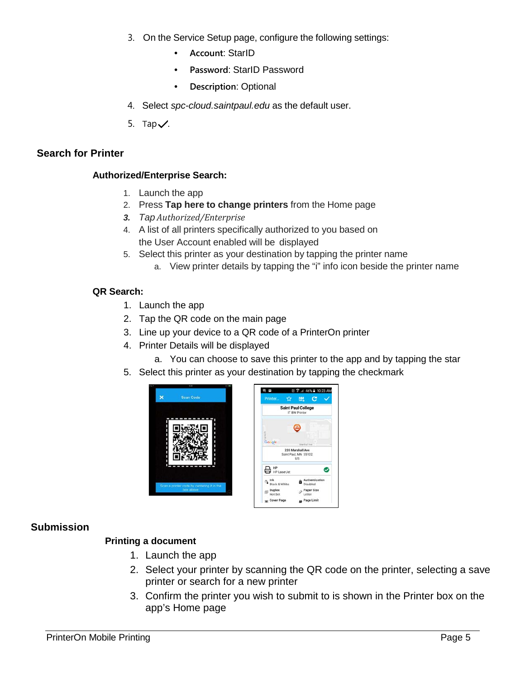- 3. On the Service Setup page, configure the following settings:
	- **Account**: StarID
	- **Password**: StarID Password
	- **Description**: Optional
- 4. Select *spc-cloud.saintpaul.edu* as the default user.
- 5. Tap $\checkmark$ .

#### **Search for Printer**

#### **Authorized/Enterprise Search:**

- 1. Launch the app
- 2. Press **Tap here to change printers** from the Home page
- *3. Tap Authorized/Enterprise*
- 4. A list of all printers specifically authorized to you based on the User Account enabled will be displayed
- 5. Select this printer as your destination by tapping the printer name a. View printer details by tapping the "i" info icon beside the printer name

#### **QR Search:**

- 1. Launch the app
- 2. Tap the QR code on the main page
- 3. Line up your device to a QR code of a PrinterOn printer
- 4. Printer Details will be displayed
	- a. You can choose to save this printer to the app and by tapping the star
- 5. Select this printer as your destination by tapping the checkmark



| a H                      | ○ 字 ⊿ 46% ■ 10:23 AM                            |
|--------------------------|-------------------------------------------------|
| Printer. Tr              | <b>EL</b> C                                     |
|                          | <b>Saint Paul College</b><br>IT BW Printer      |
|                          |                                                 |
| Google                   | <b>Marchall Roa</b>                             |
|                          | 235 Marshall Ave<br>Saint Paul, MN 55102<br>US. |
|                          |                                                 |
|                          |                                                 |
| B HP LaserJet            |                                                 |
| lnk<br>Black & White     | Authentication<br>Disabled                      |
| Duplex<br>ćil<br>Not Set | Paper Size<br>Letter                            |

# **Submission**

# **Printing a document**

- 1. Launch the app
- 2. Select your printer by scanning the QR code on the printer, selecting a save printer or search for a new printer
- 3. Confirm the printer you wish to submit to is shown in the Printer box on the app's Home page